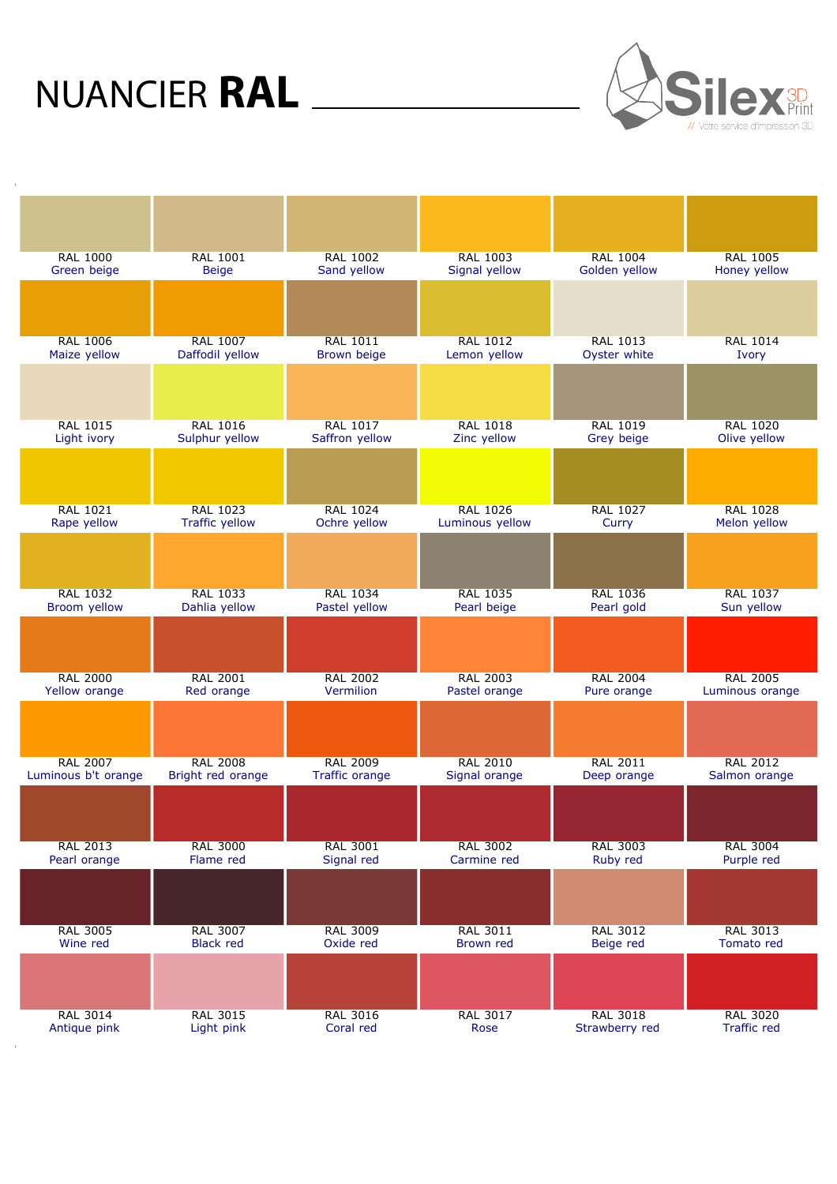

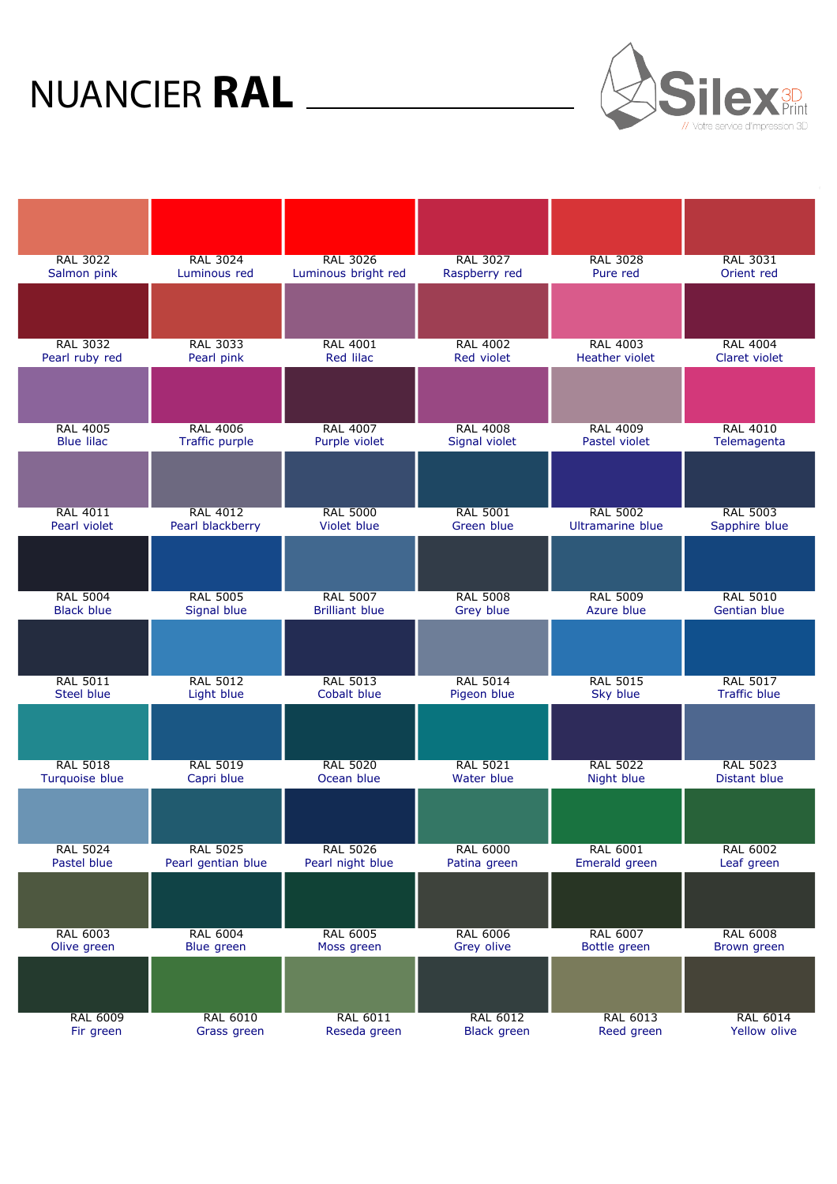

| <b>RAL 3022</b>   | <b>RAL 3024</b>    | <b>RAL 3026</b>       | <b>RAL 3027</b>    | <b>RAL 3028</b>         | <b>RAL 3031</b>     |
|-------------------|--------------------|-----------------------|--------------------|-------------------------|---------------------|
| Salmon pink       | Luminous red       | Luminous bright red   | Raspberry red      | Pure red                | Orient red          |
|                   |                    |                       |                    |                         |                     |
| <b>RAL 3032</b>   | <b>RAL 3033</b>    | <b>RAL 4001</b>       | <b>RAL 4002</b>    | <b>RAL 4003</b>         | <b>RAL 4004</b>     |
| Pearl ruby red    | Pearl pink         | Red lilac             | Red violet         | <b>Heather violet</b>   | Claret violet       |
|                   |                    |                       |                    |                         |                     |
| <b>RAL 4005</b>   | <b>RAL 4006</b>    | <b>RAL 4007</b>       | <b>RAL 4008</b>    | <b>RAL 4009</b>         | <b>RAL 4010</b>     |
| <b>Blue lilac</b> | Traffic purple     | Purple violet         | Signal violet      | Pastel violet           | Telemagenta         |
|                   |                    |                       |                    |                         |                     |
| <b>RAL 4011</b>   | <b>RAL 4012</b>    | <b>RAL 5000</b>       | <b>RAL 5001</b>    | <b>RAL 5002</b>         | <b>RAL 5003</b>     |
| Pearl violet      | Pearl blackberry   | Violet blue           | Green blue         | <b>Ultramarine blue</b> | Sapphire blue       |
|                   |                    |                       |                    |                         |                     |
| <b>RAL 5004</b>   | <b>RAL 5005</b>    | <b>RAL 5007</b>       | <b>RAL 5008</b>    | <b>RAL 5009</b>         | <b>RAL 5010</b>     |
| <b>Black blue</b> | Signal blue        | <b>Brilliant blue</b> | Grey blue          | Azure blue              | <b>Gentian blue</b> |
|                   |                    |                       |                    |                         |                     |
| <b>RAL 5011</b>   | <b>RAL 5012</b>    | <b>RAL 5013</b>       | <b>RAL 5014</b>    | <b>RAL 5015</b>         | <b>RAL 5017</b>     |
| <b>Steel blue</b> | Light blue         | Cobalt blue           | Pigeon blue        | Sky blue                | <b>Traffic blue</b> |
|                   |                    |                       |                    |                         |                     |
| <b>RAL 5018</b>   | <b>RAL 5019</b>    | <b>RAL 5020</b>       | <b>RAL 5021</b>    | <b>RAL 5022</b>         | <b>RAL 5023</b>     |
| Turquoise blue    | Capri blue         | Ocean blue            | Water blue         | Night blue              | <b>Distant blue</b> |
|                   |                    |                       |                    |                         |                     |
| <b>RAL 5024</b>   | <b>RAL 5025</b>    | <b>RAL 5026</b>       | <b>RAL 6000</b>    | <b>RAL 6001</b>         | <b>RAL 6002</b>     |
| Pastel blue       | Pearl gentian blue | Pearl night blue      | Patina green       | Emerald green           | Leaf green          |
|                   |                    |                       |                    |                         |                     |
| <b>RAL 6003</b>   | <b>RAL 6004</b>    | <b>RAL 6005</b>       | <b>RAL 6006</b>    | <b>RAL 6007</b>         | <b>RAL 6008</b>     |
| Olive green       | Blue green         | Moss green            | Grey olive         | Bottle green            | Brown green         |
|                   |                    |                       |                    |                         |                     |
| <b>RAL 6009</b>   | <b>RAL 6010</b>    | <b>RAL 6011</b>       | <b>RAL 6012</b>    | <b>RAL 6013</b>         | <b>RAL 6014</b>     |
| Fir green         | Grass green        | Reseda green          | <b>Black green</b> | Reed green              | Yellow olive        |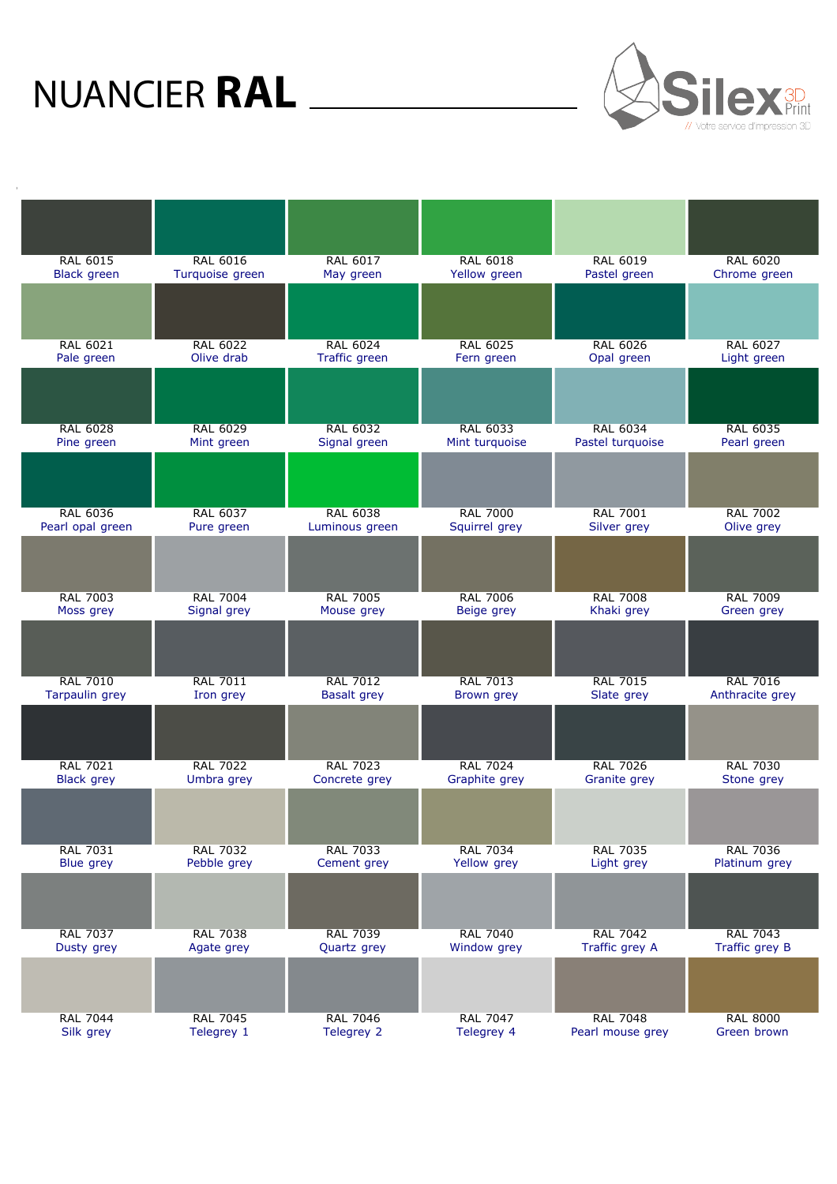$\rightarrow$ 



| <b>RAL 6015</b>       | <b>RAL 6016</b> | <b>RAL 6017</b>    | <b>RAL 6018</b> | <b>RAL 6019</b>  | <b>RAL 6020</b> |
|-----------------------|-----------------|--------------------|-----------------|------------------|-----------------|
| <b>Black green</b>    | Turquoise green | May green          | Yellow green    | Pastel green     | Chrome green    |
|                       |                 |                    |                 |                  |                 |
| <b>RAL 6021</b>       | <b>RAL 6022</b> | <b>RAL 6024</b>    | <b>RAL 6025</b> | <b>RAL 6026</b>  | <b>RAL 6027</b> |
| Pale green            | Olive drab      | Traffic green      | Fern green      | Opal green       | Light green     |
|                       |                 |                    |                 |                  |                 |
| <b>RAL 6028</b>       | <b>RAL 6029</b> | <b>RAL 6032</b>    | <b>RAL 6033</b> | <b>RAL 6034</b>  | <b>RAL 6035</b> |
| Pine green            | Mint green      | Signal green       | Mint turquoise  | Pastel turquoise | Pearl green     |
|                       |                 |                    |                 |                  |                 |
| <b>RAL 6036</b>       | <b>RAL 6037</b> | <b>RAL 6038</b>    | <b>RAL 7000</b> | <b>RAL 7001</b>  | <b>RAL 7002</b> |
| Pearl opal green      | Pure green      | Luminous green     | Squirrel grey   | Silver grey      | Olive grey      |
|                       |                 |                    |                 |                  |                 |
| <b>RAL 7003</b>       | <b>RAL 7004</b> | <b>RAL 7005</b>    | <b>RAL 7006</b> | <b>RAL 7008</b>  | <b>RAL 7009</b> |
| Moss grey             | Signal grey     | Mouse grey         | Beige grey      | Khaki grey       | Green grey      |
|                       |                 |                    |                 |                  |                 |
| <b>RAL 7010</b>       | <b>RAL 7011</b> | <b>RAL 7012</b>    | <b>RAL 7013</b> | <b>RAL 7015</b>  | <b>RAL 7016</b> |
| <b>Tarpaulin grey</b> | Iron grey       | <b>Basalt grey</b> | Brown grey      | Slate grey       | Anthracite grey |
|                       |                 |                    |                 |                  |                 |
| <b>RAL 7021</b>       | <b>RAL 7022</b> | <b>RAL 7023</b>    | <b>RAL 7024</b> | <b>RAL 7026</b>  | <b>RAL 7030</b> |
| <b>Black grey</b>     | Umbra grey      | Concrete grey      | Graphite grey   | Granite grey     | Stone grey      |
|                       |                 |                    |                 |                  |                 |
| <b>RAL 7031</b>       | <b>RAL 7032</b> | <b>RAL 7033</b>    | <b>RAL 7034</b> | <b>RAL 7035</b>  | <b>RAL 7036</b> |
| Blue grey             | Pebble grey     | Cement grey        | Yellow grey     | Light grey       | Platinum grey   |
|                       |                 |                    |                 |                  |                 |
| <b>RAL 7037</b>       | <b>RAL 7038</b> | <b>RAL 7039</b>    | <b>RAL 7040</b> | <b>RAL 7042</b>  | <b>RAL 7043</b> |
| Dusty grey            | Agate grey      | Quartz grey        | Window grey     | Traffic grey A   | Traffic grey B  |
|                       |                 |                    |                 |                  |                 |
| <b>RAL 7044</b>       | <b>RAL 7045</b> | <b>RAL 7046</b>    | <b>RAL 7047</b> | <b>RAL 7048</b>  | <b>RAL 8000</b> |
| Silk grey             | Telegrey 1      | Telegrey 2         | Telegrey 4      | Pearl mouse grey | Green brown     |